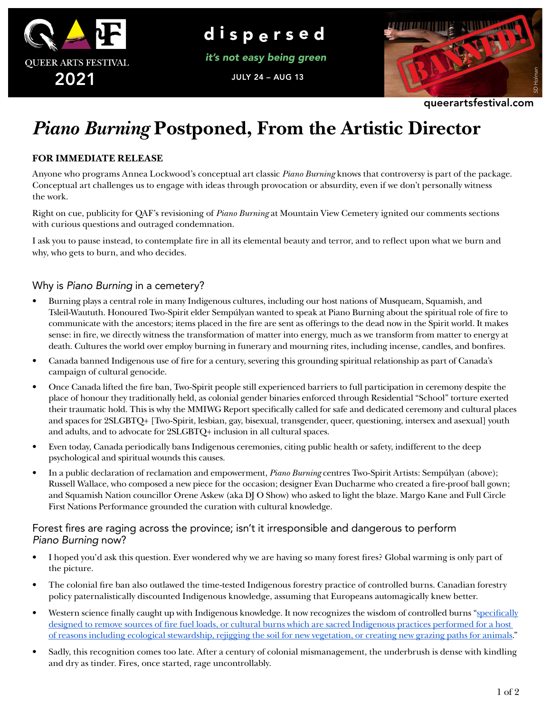

d i s p e r s e d

*it's not easy being green*

JULY 24 – AUG 13



queerartsfestival.com

# *Piano Burning* **Postponed, From the Artistic Director**

#### **FOR IMMEDIATE RELEASE**

Anyone who programs Annea Lockwood's conceptual art classic *Piano Burning* knows that controversy is part of the package. Conceptual art challenges us to engage with ideas through provocation or absurdity, even if we don't personally witness the work.

Right on cue, publicity for QAF's revisioning of *Piano Burning* at Mountain View Cemetery ignited our comments sections with curious questions and outraged condemnation.

I ask you to pause instead, to contemplate fire in all its elemental beauty and terror, and to reflect upon what we burn and why, who gets to burn, and who decides.

## Why is *Piano Burning* in a cemetery?

- Burning plays a central role in many Indigenous cultures, including our host nations of Musqueam, Squamish, and Tsleil-Waututh. Honoured Two-Spirit elder Sempúlyan wanted to speak at Piano Burning about the spiritual role of fire to communicate with the ancestors; items placed in the fire are sent as offerings to the dead now in the Spirit world. It makes sense: in fire, we directly witness the transformation of matter into energy, much as we transform from matter to energy at death. Cultures the world over employ burning in funerary and mourning rites, including incense, candles, and bonfires.
- Canada banned Indigenous use of fire for a century, severing this grounding spiritual relationship as part of Canada's campaign of cultural genocide.
- Once Canada lifted the fire ban, Two-Spirit people still experienced barriers to full participation in ceremony despite the place of honour they traditionally held, as colonial gender binaries enforced through Residential "School" torture exerted their traumatic hold. This is why the MMIWG Report specifically called for safe and dedicated ceremony and cultural places and spaces for 2SLGBTQ+ [Two-Spirit, lesbian, gay, bisexual, transgender, queer, questioning, intersex and asexual] youth and adults, and to advocate for 2SLGBTQ+ inclusion in all cultural spaces.
- Even today, Canada periodically bans Indigenous ceremonies, citing public health or safety, indifferent to the deep psychological and spiritual wounds this causes.
- In a public declaration of reclamation and empowerment, *Piano Burning* centres Two-Spirit Artists: Sempúlyan (above); Russell Wallace, who composed a new piece for the occasion; designer Evan Ducharme who created a fire-proof ball gown; and Squamish Nation councillor Orene Askew (aka DJ O Show) who asked to light the blaze. Margo Kane and Full Circle First Nations Performance grounded the curation with cultural knowledge.

#### Forest fires are raging across the province; isn't it irresponsible and dangerous to perform *Piano Burning* now?

- I hoped you'd ask this question. Ever wondered why we are having so many forest fires? Global warming is only part of the picture.
- The colonial fire ban also outlawed the time-tested Indigenous forestry practice of controlled burns. Canadian forestry policy paternalistically discounted Indigenous knowledge, assuming that Europeans automagically knew better.
- Western science finally caught up with Indigenous knowledge. It now recognizes the wisdom of controlled burns "specifically designed to remove sources of fire fuel loads, or cultural burns which are sacred Indigenous practices performed for a host of reasons including ecological stewardship, rejigging the soil for new vegetation, or creating new grazing paths for animals."
- Sadly, this recognition comes too late. After a century of colonial mismanagement, the underbrush is dense with kindling and dry as tinder. Fires, once started, rage uncontrollably.